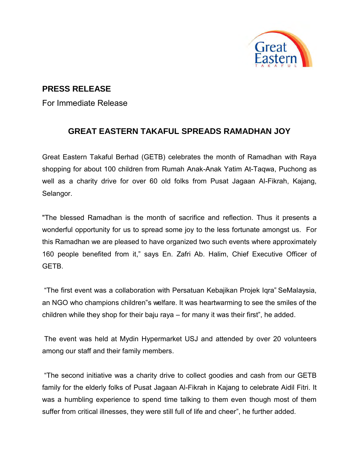

## **PRESS RELEASE**

For Immediate Release

## **GREAT EASTERN TAKAFUL SPREADS RAMADHAN JOY**

Great Eastern Takaful Berhad (GETB) celebrates the month of Ramadhan with Raya shopping for about 100 children from Rumah Anak-Anak Yatim At-Taqwa, Puchong as well as a charity drive for over 60 old folks from Pusat Jagaan Al-Fikrah, Kajang, Selangor.

"The blessed Ramadhan is the month of sacrifice and reflection. Thus it presents a wonderful opportunity for us to spread some joy to the less fortunate amongst us. For this Ramadhan we are pleased to have organized two such events where approximately 160 people benefited from it," says En. Zafri Ab. Halim, Chief Executive Officer of **GFTB** 

 "The first event was a collaboration with Persatuan Kebajikan Projek Iqra" SeMalaysia, an NGO who champions children"s welfare. It was heartwarming to see the smiles of the children while they shop for their baju raya – for many it was their first", he added.

 The event was held at Mydin Hypermarket USJ and attended by over 20 volunteers among our staff and their family members.

 "The second initiative was a charity drive to collect goodies and cash from our GETB family for the elderly folks of Pusat Jagaan Al-Fikrah in Kajang to celebrate Aidil Fitri. It was a humbling experience to spend time talking to them even though most of them suffer from critical illnesses, they were still full of life and cheer", he further added.